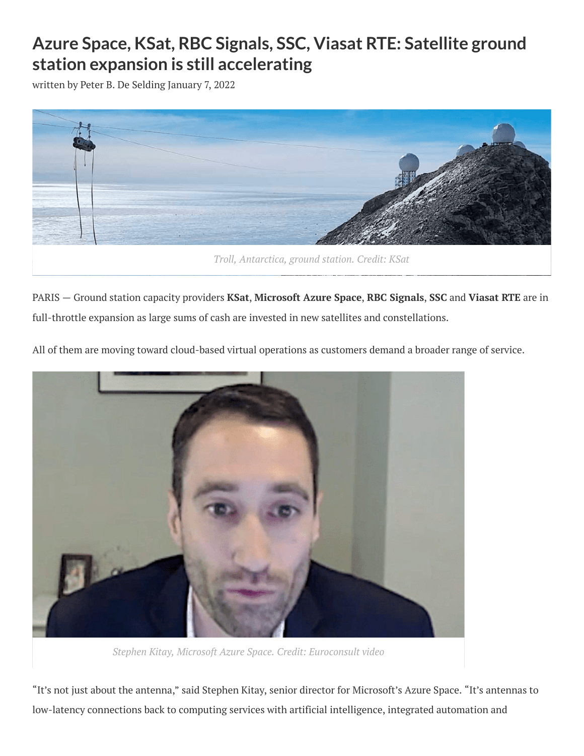## **Azure Space, KSat, RBC Signals, SSC, Viasat RTE: Satellite ground station expansion is still accelerating**

written by Peter B. De [Selding](https://www.spaceintelreport.com/author/peter/) January 7, 2022



*Troll, Antarctica, ground station. Credit: KSat*

PARIS — Ground station capacity providers **KSat**, **Microsoft Azure Space**, **RBC Signals**, **SSC** and **Viasat RTE** are in full-throttle expansion as large sums of cash are invested in new satellites and constellations.

All of them are moving toward cloud-based virtual operations as customers demand a broader range of service.



*Stephen Kitay, Microsoft Azure Space. Credit: Euroconsult video*

"It's not just about the antenna," said Stephen Kitay, senior director for Microsoft's Azure Space. "It's antennas to low-latency connections back to computing services with artificial intelligence, integrated automation and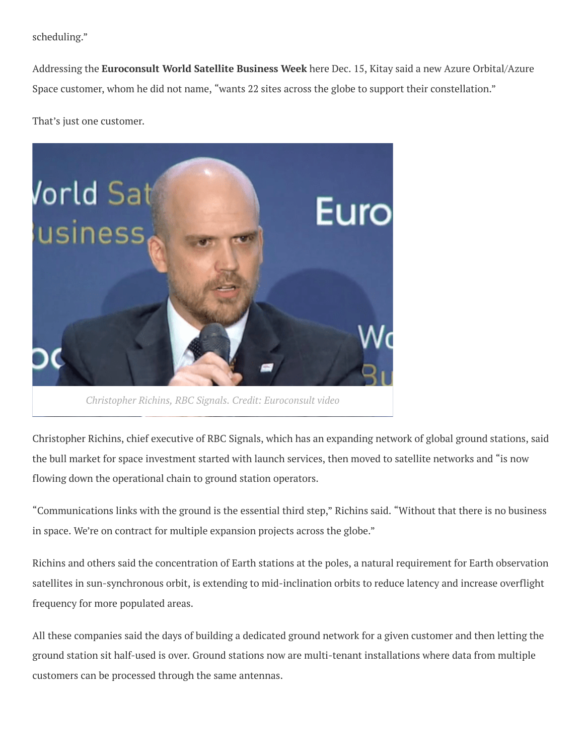scheduling."

Addressing the **Euroconsult World Satellite Business Week** here Dec. 15, Kitay said a new Azure Orbital/Azure Space customer, whom he did not name, "wants 22 sites across the globe to support their constellation."

That's just one customer.



*Christopher Richins, RBC Signals. Credit: Euroconsult video*

Christopher Richins, chief executive of RBC Signals, which has an expanding network of global ground stations, said the bull market for space investment started with launch services, then moved to satellite networks and "is now flowing down the operational chain to ground station operators.

"Communications links with the ground is the essential third step," Richins said. "Without that there is no business in space. We're on contract for multiple expansion projects across the globe."

Richins and others said the concentration of Earth stations at the poles, a natural requirement for Earth observation satellites in sun-synchronous orbit, is extending to mid-inclination orbits to reduce latency and increase overflight frequency for more populated areas.

All these companies said the days of building a dedicated ground network for a given customer and then letting the ground station sit half-used is over. Ground stations now are multi-tenant installations where data from multiple customers can be processed through the same antennas.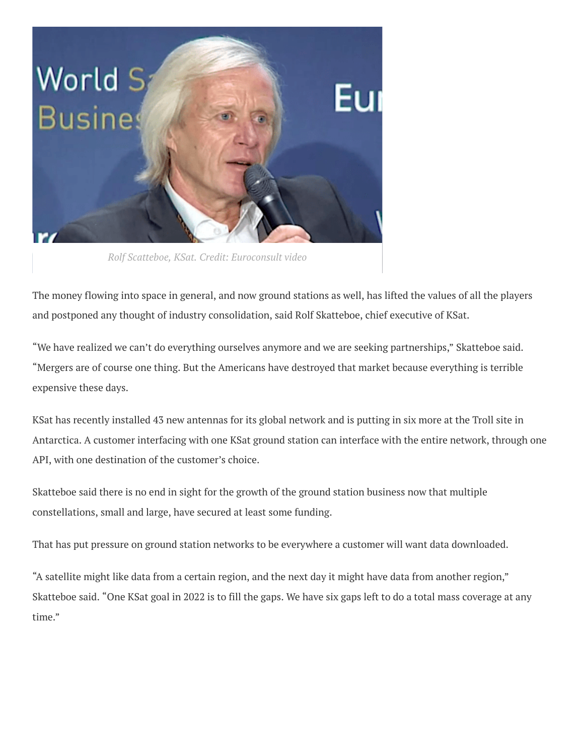

*Rolf Scatteboe, KSat. Credit: Euroconsult video*

The money flowing into space in general, and now ground stations as well, has lifted the values of all the players and postponed any thought of industry consolidation, said Rolf Skatteboe, chief executive of KSat.

"We have realized we can't do everything ourselves anymore and we are seeking partnerships," Skatteboe said. "Mergers are of course one thing. But the Americans have destroyed that market because everything is terrible expensive these days.

KSat has recently installed 43 new antennas for its global network and is putting in six more at the Troll site in Antarctica. A customer interfacing with one KSat ground station can interface with the entire network, through one API, with one destination of the customer's choice.

Skatteboe said there is no end in sight for the growth of the ground station business now that multiple constellations, small and large, have secured at least some funding.

That has put pressure on ground station networks to be everywhere a customer will want data downloaded.

"A satellite might like data from a certain region, and the next day it might have data from another region," Skatteboe said. "One KSat goal in 2022 is to fill the gaps. We have six gaps left to do a total mass coverage at any time."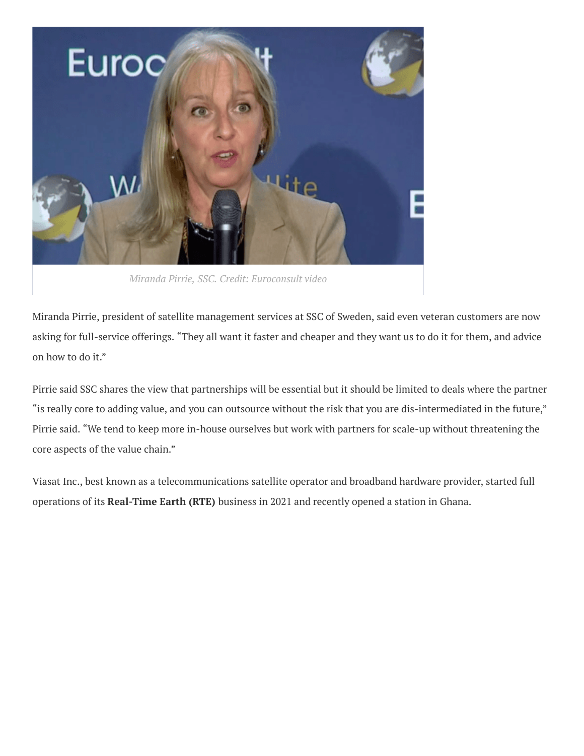

*Miranda Pirrie, SSC. Credit: Euroconsult video*

Miranda Pirrie, president of satellite management services at SSC of Sweden, said even veteran customers are now asking for full-service offerings. "They all want it faster and cheaper and they want us to do it for them, and advice on how to do it."

Pirrie said SSC shares the view that partnerships will be essential but it should be limited to deals where the partner "is really core to adding value, and you can outsource without the risk that you are dis-intermediated in the future," Pirrie said. "We tend to keep more in-house ourselves but work with partners for scale-up without threatening the core aspects of the value chain."

Viasat Inc., best known as a telecommunications satellite operator and broadband hardware provider, started full operations of its **Real-Time Earth (RTE)** business in 2021 and recently opened a station in Ghana.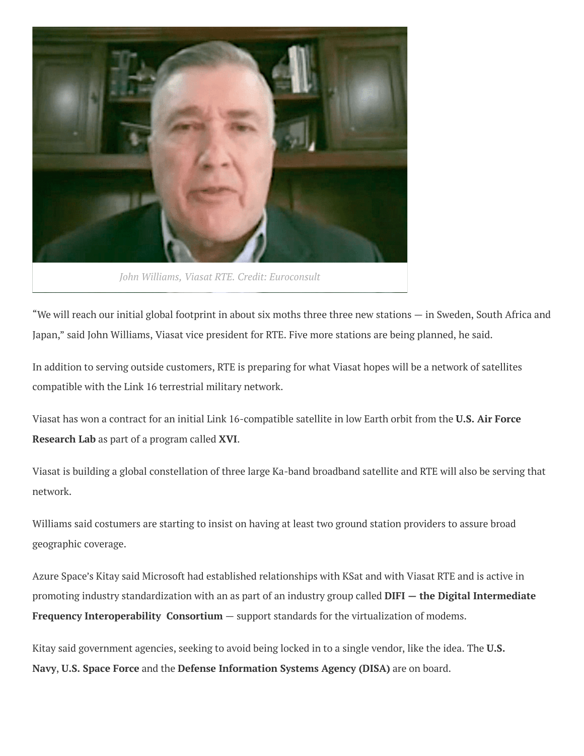

*John Williams, Viasat RTE. Credit: Euroconsult*

"We will reach our initial global footprint in about six moths three three new stations — in Sweden, South Africa and Japan," said John Williams, Viasat vice president for RTE. Five more stations are being planned, he said.

In addition to serving outside customers, RTE is preparing for what Viasat hopes will be a network of satellites compatible with the Link 16 terrestrial military network.

Viasat has won a contract for an initial Link 16-compatible satellite in low Earth orbit from the **U.S. Air Force Research Lab** as part of a program called **XVI**.

Viasat is building a global constellation of three large Ka-band broadband satellite and RTE will also be serving that network.

Williams said costumers are starting to insist on having at least two ground station providers to assure broad geographic coverage.

Azure Space's Kitay said Microsoft had established relationships with KSat and with Viasat RTE and is active in promoting industry standardization with an as part of an industry group called **DIFI — the Digital Intermediate Frequency Interoperability Consortium** — support standards for the virtualization of modems.

Kitay said government agencies, seeking to avoid being locked in to a single vendor, like the idea. The **U.S. Navy**, **U.S. Space Force** and the **Defense Information Systems Agency (DISA)** are on board.